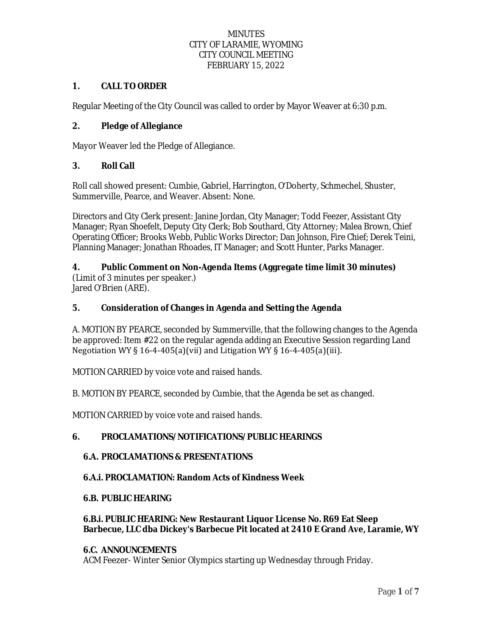# **1. CALL TO ORDER**

Regular Meeting of the City Council was called to order by Mayor Weaver at 6:30 p.m.

# **2. Pledge of Allegiance**

Mayor Weaver led the Pledge of Allegiance.

# **3. Roll Call**

Roll call showed present: Cumbie, Gabriel, Harrington, O'Doherty, Schmechel, Shuster, Summerville, Pearce, and Weaver. Absent: None.

Directors and City Clerk present: Janine Jordan, City Manager; Todd Feezer, Assistant City Manager; Ryan Shoefelt, Deputy City Clerk; Bob Southard, City Attorney; Malea Brown, Chief Operating Officer; Brooks Webb, Public Works Director; Dan Johnson, Fire Chief; Derek Teini, Planning Manager; Jonathan Rhoades, IT Manager; and Scott Hunter, Parks Manager.

# **4. Public Comment on Non-Agenda Items (Aggregate time limit 30 minutes)**

(Limit of 3 minutes per speaker.) Jared O'Brien (ARE).

### **5. Consideration of Changes in Agenda and Setting the Agenda**

A. MOTION BY PEARCE, seconded by Summerville, that the following changes to the Agenda be approved: Item #22 on the regular agenda adding an Executive Session regarding Land Negotiation WY § 16-4-405(a)(vii) and Litigation WY § 16-4-405(a)(iii).

MOTION CARRIED by voice vote and raised hands.

B. MOTION BY PEARCE, seconded by Cumbie, that the Agenda be set as changed.

MOTION CARRIED by voice vote and raised hands.

### **6. PROCLAMATIONS/NOTIFICATIONS/PUBLIC HEARINGS**

### **6.A. PROCLAMATIONS & PRESENTATIONS**

### **6.A.i. PROCLAMATION: Random Acts of Kindness Week**

#### **6.B. PUBLIC HEARING**

### **6.B.i. PUBLIC HEARING: New Restaurant Liquor License No. R69 Eat Sleep Barbecue, LLC dba Dickey's Barbecue Pit located at 2410 E Grand Ave, Laramie, WY**

### **6.C. ANNOUNCEMENTS**

ACM Feezer- Winter Senior Olympics starting up Wednesday through Friday.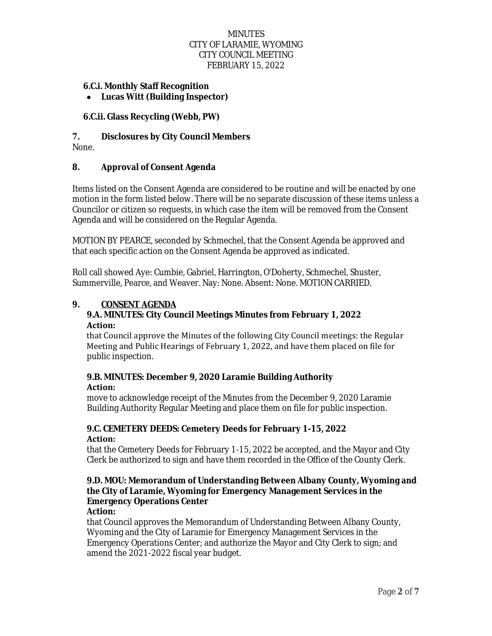### **6.C.i. Monthly Staff Recognition**

**Lucas Witt (Building Inspector)**

### **6.C.ii. Glass Recycling (Webb, PW)**

# **7. Disclosures by City Council Members**

None.

### **8. Approval of Consent Agenda**

Items listed on the Consent Agenda are considered to be routine and will be enacted by one motion in the form listed below. There will be no separate discussion of these items unless a Councilor or citizen so requests, in which case the item will be removed from the Consent Agenda and will be considered on the Regular Agenda.

MOTION BY PEARCE, seconded by Schmechel, that the Consent Agenda be approved and that each specific action on the Consent Agenda be approved as indicated.

Roll call showed Aye: Cumbie, Gabriel, Harrington, O'Doherty, Schmechel, Shuster, Summerville, Pearce, and Weaver. Nay: None. Absent: None. MOTION CARRIED.

### **9. CONSENT AGENDA**

### **9.A. MINUTES: City Council Meetings Minutes from February 1, 2022 Action:**

that Council approve the Minutes of the following City Council meetings: the Regular Meeting and Public Hearings of February 1, 2022, and have them placed on file for public inspection.

#### **9.B. MINUTES: December 9, 2020 Laramie Building Authority Action:**

move to acknowledge receipt of the Minutes from the December 9, 2020 Laramie Building Authority Regular Meeting and place them on file for public inspection.

### **9.C. CEMETERY DEEDS: Cemetery Deeds for February 1-15, 2022 Action:**

that the Cemetery Deeds for February 1-15, 2022 be accepted, and the Mayor and City Clerk be authorized to sign and have them recorded in the Office of the County Clerk.

# **9.D. MOU: Memorandum of Understanding Between Albany County, Wyoming and the City of Laramie, Wyoming for Emergency Management Services in the Emergency Operations Center**

### **Action:**

that Council approves the Memorandum of Understanding Between Albany County, Wyoming and the City of Laramie for Emergency Management Services in the Emergency Operations Center; and authorize the Mayor and City Clerk to sign; and amend the 2021-2022 fiscal year budget.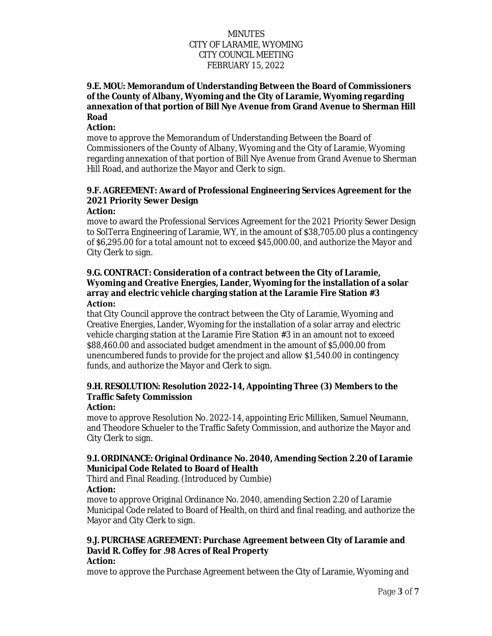# **9.E. MOU: Memorandum of Understanding Between the Board of Commissioners of the County of Albany, Wyoming and the City of Laramie, Wyoming regarding annexation of that portion of Bill Nye Avenue from Grand Avenue to Sherman Hill Road**

#### **Action:**

move to approve the Memorandum of Understanding Between the Board of Commissioners of the County of Albany, Wyoming and the City of Laramie, Wyoming regarding annexation of that portion of Bill Nye Avenue from Grand Avenue to Sherman Hill Road, and authorize the Mayor and Clerk to sign.

# **9.F. AGREEMENT: Award of Professional Engineering Services Agreement for the 2021 Priority Sewer Design**

### **Action:**

move to award the Professional Services Agreement for the 2021 Priority Sewer Design to SolTerra Engineering of Laramie, WY, in the amount of \$38,705.00 plus a contingency of \$6,295.00 for a total amount not to exceed \$45,000.00, and authorize the Mayor and City Clerk to sign.

### **9.G. CONTRACT: Consideration of a contract between the City of Laramie, Wyoming and Creative Energies, Lander, Wyoming for the installation of a solar array and electric vehicle charging station at the Laramie Fire Station #3 Action:**

that City Council approve the contract between the City of Laramie, Wyoming and Creative Energies, Lander, Wyoming for the installation of a solar array and electric vehicle charging station at the Laramie Fire Station #3 in an amount not to exceed \$88,460.00 and associated budget amendment in the amount of \$5,000.00 from unencumbered funds to provide for the project and allow \$1,540.00 in contingency funds, and authorize the Mayor and Clerk to sign.

# **9.H. RESOLUTION: Resolution 2022-14, Appointing Three (3) Members to the Traffic Safety Commission**

### **Action:**

move to approve Resolution No. 2022-14, appointing Eric Milliken, Samuel Neumann, and Theodore Schueler to the Traffic Safety Commission, and authorize the Mayor and City Clerk to sign.

# **9.I. ORDINANCE: Original Ordinance No. 2040, Amending Section 2.20 of Laramie Municipal Code Related to Board of Health**

Third and Final Reading. (Introduced by Cumbie)

### **Action:**

move to approve Original Ordinance No. 2040, amending Section 2.20 of Laramie Municipal Code related to Board of Health, on third and final reading, and authorize the Mayor and City Clerk to sign.

#### **9.J. PURCHASE AGREEMENT: Purchase Agreement between City of Laramie and David R. Coffey for .98 Acres of Real Property Action:**

# move to approve the Purchase Agreement between the City of Laramie, Wyoming and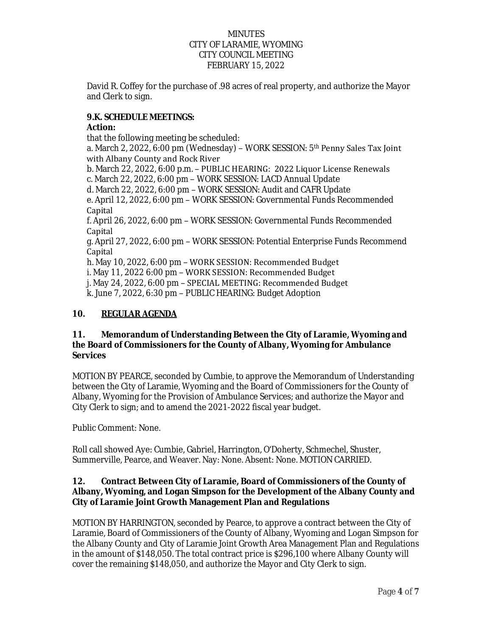David R. Coffey for the purchase of .98 acres of real property, and authorize the Mayor and Clerk to sign.

# **9.K. SCHEDULE MEETINGS:**

# **Action:**

that the following meeting be scheduled: a. March 2, 2022, 6:00 pm (Wednesday) - WORK SESSION: 5<sup>th</sup> Penny Sales Tax Joint with Albany County and Rock River b. March 22, 2022, 6:00 p.m. – PUBLIC HEARING: 2022 Liquor License Renewals c. March 22, 2022, 6:00 pm – WORK SESSION: LACD Annual Update d. March 22, 2022, 6:00 pm – WORK SESSION: Audit and CAFR Update e. April 12, 2022, 6:00 pm – WORK SESSION: Governmental Funds Recommended **Capital** f. April 26, 2022, 6:00 pm – WORK SESSION: Governmental Funds Recommended Capital g. April 27, 2022, 6:00 pm – WORK SESSION: Potential Enterprise Funds Recommend Capital h. May 10, 2022, 6:00 pm – WORK SESSION: Recommended Budget i. May 11, 2022 6:00 pm – WORK SESSION: Recommended Budget j. May 24, 2022, 6:00 pm – SPECIAL MEETING: Recommended Budget k. June 7, 2022, 6:30 pm – PUBLIC HEARING: Budget Adoption

# **10. REGULAR AGENDA**

### **11. Memorandum of Understanding Between the City of Laramie, Wyoming and the Board of Commissioners for the County of Albany, Wyoming for Ambulance Services**

MOTION BY PEARCE, seconded by Cumbie, to approve the Memorandum of Understanding between the City of Laramie, Wyoming and the Board of Commissioners for the County of Albany, Wyoming for the Provision of Ambulance Services; and authorize the Mayor and City Clerk to sign; and to amend the 2021-2022 fiscal year budget.

Public Comment: None.

Roll call showed Aye: Cumbie, Gabriel, Harrington, O'Doherty, Schmechel, Shuster, Summerville, Pearce, and Weaver. Nay: None. Absent: None. MOTION CARRIED.

# **12. Contract Between City of Laramie, Board of Commissioners of the County of Albany, Wyoming, and Logan Simpson for the Development of the Albany County and City of Laramie Joint Growth Management Plan and Regulations**

MOTION BY HARRINGTON, seconded by Pearce, to approve a contract between the City of Laramie, Board of Commissioners of the County of Albany, Wyoming and Logan Simpson for the Albany County and City of Laramie Joint Growth Area Management Plan and Regulations in the amount of \$148,050. The total contract price is \$296,100 where Albany County will cover the remaining \$148,050, and authorize the Mayor and City Clerk to sign.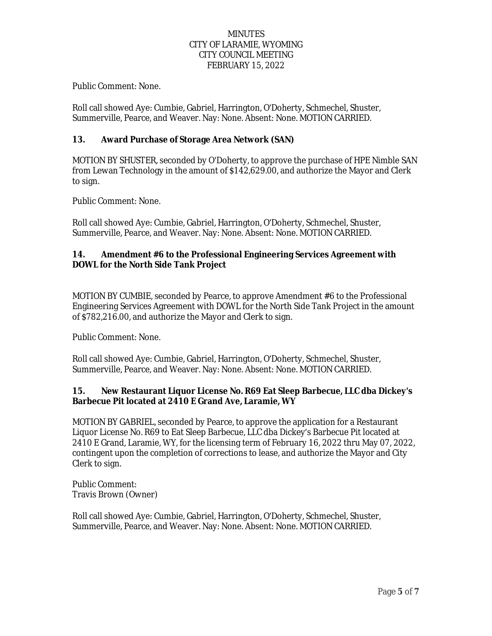Public Comment: None.

Roll call showed Aye: Cumbie, Gabriel, Harrington, O'Doherty, Schmechel, Shuster, Summerville, Pearce, and Weaver. Nay: None. Absent: None. MOTION CARRIED.

# **13. Award Purchase of Storage Area Network (SAN)**

MOTION BY SHUSTER, seconded by O'Doherty, to approve the purchase of HPE Nimble SAN from Lewan Technology in the amount of \$142,629.00, and authorize the Mayor and Clerk to sign.

Public Comment: None.

Roll call showed Aye: Cumbie, Gabriel, Harrington, O'Doherty, Schmechel, Shuster, Summerville, Pearce, and Weaver. Nay: None. Absent: None. MOTION CARRIED.

### **14. Amendment #6 to the Professional Engineering Services Agreement with DOWL for the North Side Tank Project**

MOTION BY CUMBIE, seconded by Pearce, to approve Amendment #6 to the Professional Engineering Services Agreement with DOWL for the North Side Tank Project in the amount of \$782,216.00, and authorize the Mayor and Clerk to sign.

Public Comment: None.

Roll call showed Aye: Cumbie, Gabriel, Harrington, O'Doherty, Schmechel, Shuster, Summerville, Pearce, and Weaver. Nay: None. Absent: None. MOTION CARRIED.

### **15. New Restaurant Liquor License No. R69 Eat Sleep Barbecue, LLC dba Dickey's Barbecue Pit located at 2410 E Grand Ave, Laramie, WY**

MOTION BY GABRIEL, seconded by Pearce, to approve the application for a Restaurant Liquor License No. R69 to Eat Sleep Barbecue, LLC dba Dickey's Barbecue Pit located at 2410 E Grand, Laramie, WY, for the licensing term of February 16, 2022 thru May 07, 2022, contingent upon the completion of corrections to lease, and authorize the Mayor and City Clerk to sign.

Public Comment: Travis Brown (Owner)

Roll call showed Aye: Cumbie, Gabriel, Harrington, O'Doherty, Schmechel, Shuster, Summerville, Pearce, and Weaver. Nay: None. Absent: None. MOTION CARRIED.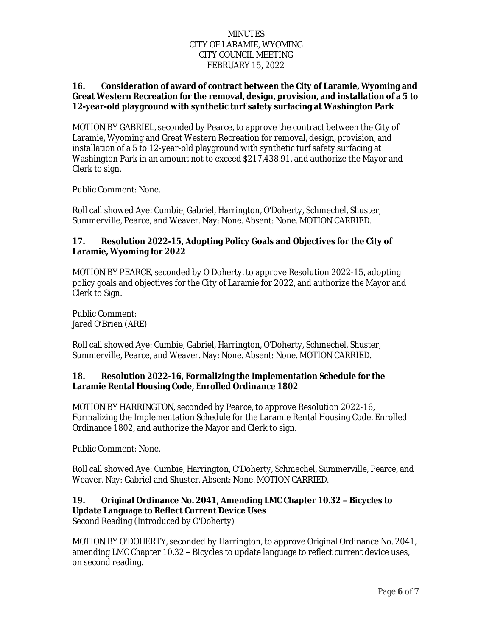### **16. Consideration of award of contract between the City of Laramie, Wyoming and Great Western Recreation for the removal, design, provision, and installation of a 5 to 12-year-old playground with synthetic turf safety surfacing at Washington Park**

MOTION BY GABRIEL, seconded by Pearce, to approve the contract between the City of Laramie, Wyoming and Great Western Recreation for removal, design, provision, and installation of a 5 to 12-year-old playground with synthetic turf safety surfacing at Washington Park in an amount not to exceed \$217,438.91, and authorize the Mayor and Clerk to sign.

Public Comment: None.

Roll call showed Aye: Cumbie, Gabriel, Harrington, O'Doherty, Schmechel, Shuster, Summerville, Pearce, and Weaver. Nay: None. Absent: None. MOTION CARRIED.

### **17. Resolution 2022-15, Adopting Policy Goals and Objectives for the City of Laramie, Wyoming for 2022**

MOTION BY PEARCE, seconded by O'Doherty, to approve Resolution 2022-15, adopting policy goals and objectives for the City of Laramie for 2022, and authorize the Mayor and Clerk to Sign.

Public Comment: Jared O'Brien (ARE)

Roll call showed Aye: Cumbie, Gabriel, Harrington, O'Doherty, Schmechel, Shuster, Summerville, Pearce, and Weaver. Nay: None. Absent: None. MOTION CARRIED.

# **18. Resolution 2022-16, Formalizing the Implementation Schedule for the Laramie Rental Housing Code, Enrolled Ordinance 1802**

MOTION BY HARRINGTON, seconded by Pearce, to approve Resolution 2022-16, Formalizing the Implementation Schedule for the Laramie Rental Housing Code, Enrolled Ordinance 1802, and authorize the Mayor and Clerk to sign.

Public Comment: None.

Roll call showed Aye: Cumbie, Harrington, O'Doherty, Schmechel, Summerville, Pearce, and Weaver. Nay: Gabriel and Shuster. Absent: None. MOTION CARRIED.

### **19. Original Ordinance No. 2041, Amending LMC Chapter 10.32 – Bicycles to Update Language to Reflect Current Device Uses**

Second Reading (Introduced by O'Doherty)

MOTION BY O'DOHERTY, seconded by Harrington, to approve Original Ordinance No. 2041, amending LMC Chapter 10.32 – Bicycles to update language to reflect current device uses, on second reading.